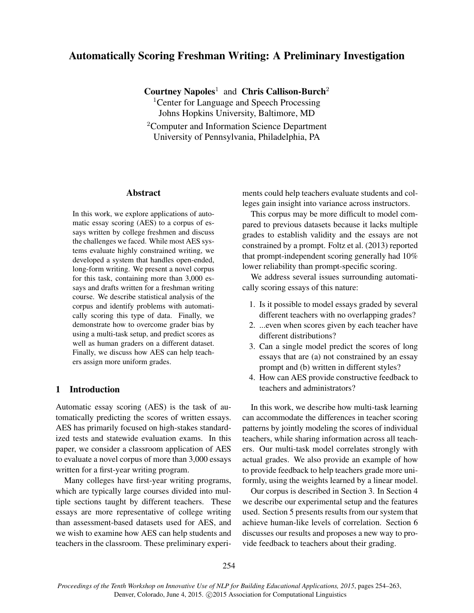# Automatically Scoring Freshman Writing: A Preliminary Investigation

Courtney Napoles<sup>1</sup> and Chris Callison-Burch<sup>2</sup>

<sup>1</sup>Center for Language and Speech Processing Johns Hopkins University, Baltimore, MD

<sup>2</sup>Computer and Information Science Department University of Pennsylvania, Philadelphia, PA

### Abstract

In this work, we explore applications of automatic essay scoring (AES) to a corpus of essays written by college freshmen and discuss the challenges we faced. While most AES systems evaluate highly constrained writing, we developed a system that handles open-ended, long-form writing. We present a novel corpus for this task, containing more than 3,000 essays and drafts written for a freshman writing course. We describe statistical analysis of the corpus and identify problems with automatically scoring this type of data. Finally, we demonstrate how to overcome grader bias by using a multi-task setup, and predict scores as well as human graders on a different dataset. Finally, we discuss how AES can help teachers assign more uniform grades.

# 1 Introduction

Automatic essay scoring (AES) is the task of automatically predicting the scores of written essays. AES has primarily focused on high-stakes standardized tests and statewide evaluation exams. In this paper, we consider a classroom application of AES to evaluate a novel corpus of more than 3,000 essays written for a first-year writing program.

Many colleges have first-year writing programs, which are typically large courses divided into multiple sections taught by different teachers. These essays are more representative of college writing than assessment-based datasets used for AES, and we wish to examine how AES can help students and teachers in the classroom. These preliminary experiments could help teachers evaluate students and colleges gain insight into variance across instructors.

This corpus may be more difficult to model compared to previous datasets because it lacks multiple grades to establish validity and the essays are not constrained by a prompt. Foltz et al. (2013) reported that prompt-independent scoring generally had 10% lower reliability than prompt-specific scoring.

We address several issues surrounding automatically scoring essays of this nature:

- 1. Is it possible to model essays graded by several different teachers with no overlapping grades?
- 2. ...even when scores given by each teacher have different distributions?
- 3. Can a single model predict the scores of long essays that are (a) not constrained by an essay prompt and (b) written in different styles?
- 4. How can AES provide constructive feedback to teachers and administrators?

In this work, we describe how multi-task learning can accommodate the differences in teacher scoring patterns by jointly modeling the scores of individual teachers, while sharing information across all teachers. Our multi-task model correlates strongly with actual grades. We also provide an example of how to provide feedback to help teachers grade more uniformly, using the weights learned by a linear model.

Our corpus is described in Section 3. In Section 4 we describe our experimental setup and the features used. Section 5 presents results from our system that achieve human-like levels of correlation. Section 6 discusses our results and proposes a new way to provide feedback to teachers about their grading.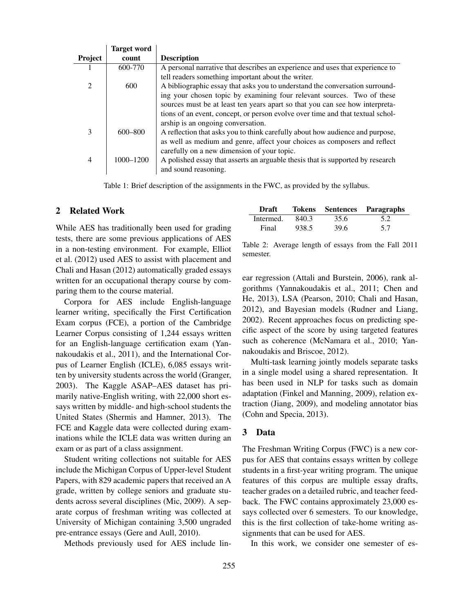|                | <b>Target word</b> |                                                                                |
|----------------|--------------------|--------------------------------------------------------------------------------|
| Project        | count              | <b>Description</b>                                                             |
|                | 600-770            | A personal narrative that describes an experience and uses that experience to  |
|                |                    | tell readers something important about the writer.                             |
|                | 600                | A bibliographic essay that asks you to understand the conversation surround-   |
|                |                    | ing your chosen topic by examining four relevant sources. Two of these         |
|                |                    | sources must be at least ten years apart so that you can see how interpreta-   |
|                |                    | tions of an event, concept, or person evolve over time and that textual schol- |
|                |                    | arship is an ongoing conversation.                                             |
| 3              | $600 - 800$        | A reflection that asks you to think carefully about how audience and purpose,  |
|                |                    | as well as medium and genre, affect your choices as composers and reflect      |
|                |                    | carefully on a new dimension of your topic.                                    |
| $\overline{4}$ | $1000 - 1200$      | A polished essay that asserts an arguable thesis that is supported by research |
|                |                    | and sound reasoning.                                                           |

Table 1: Brief description of the assignments in the FWC, as provided by the syllabus.

#### 2 Related Work

While AES has traditionally been used for grading tests, there are some previous applications of AES in a non-testing environment. For example, Elliot et al. (2012) used AES to assist with placement and Chali and Hasan (2012) automatically graded essays written for an occupational therapy course by comparing them to the course material.

Corpora for AES include English-language learner writing, specifically the First Certification Exam corpus (FCE), a portion of the Cambridge Learner Corpus consisting of 1,244 essays written for an English-language certification exam (Yannakoudakis et al., 2011), and the International Corpus of Learner English (ICLE), 6,085 essays written by university students across the world (Granger, 2003). The Kaggle ASAP–AES dataset has primarily native-English writing, with 22,000 short essays written by middle- and high-school students the United States (Shermis and Hamner, 2013). The FCE and Kaggle data were collected during examinations while the ICLE data was written during an exam or as part of a class assignment.

Student writing collections not suitable for AES include the Michigan Corpus of Upper-level Student Papers, with 829 academic papers that received an A grade, written by college seniors and graduate students across several disciplines (Mic, 2009). A separate corpus of freshman writing was collected at University of Michigan containing 3,500 ungraded pre-entrance essays (Gere and Aull, 2010).

Methods previously used for AES include lin-

| Draft     |       |      | <b>Tokens</b> Sentences Paragraphs |
|-----------|-------|------|------------------------------------|
| Intermed. | 840.3 | 35.6 | 5.2                                |
| Final     | 938.5 | 39.6 | 5.7                                |

Table 2: Average length of essays from the Fall 2011 semester.

ear regression (Attali and Burstein, 2006), rank algorithms (Yannakoudakis et al., 2011; Chen and He, 2013), LSA (Pearson, 2010; Chali and Hasan, 2012), and Bayesian models (Rudner and Liang, 2002). Recent approaches focus on predicting specific aspect of the score by using targeted features such as coherence (McNamara et al., 2010; Yannakoudakis and Briscoe, 2012).

Multi-task learning jointly models separate tasks in a single model using a shared representation. It has been used in NLP for tasks such as domain adaptation (Finkel and Manning, 2009), relation extraction (Jiang, 2009), and modeling annotator bias (Cohn and Specia, 2013).

### 3 Data

The Freshman Writing Corpus (FWC) is a new corpus for AES that contains essays written by college students in a first-year writing program. The unique features of this corpus are multiple essay drafts, teacher grades on a detailed rubric, and teacher feedback. The FWC contains approximately 23,000 essays collected over 6 semesters. To our knowledge, this is the first collection of take-home writing assignments that can be used for AES.

In this work, we consider one semester of es-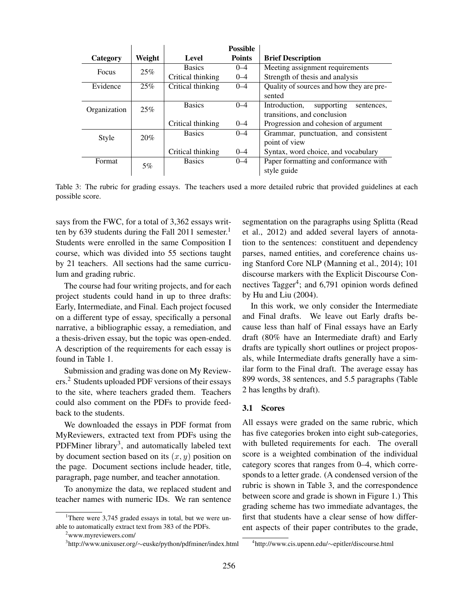|                                             |        |                   | <b>Possible</b>                       |                                           |
|---------------------------------------------|--------|-------------------|---------------------------------------|-------------------------------------------|
| Category                                    | Weight | Level             | <b>Points</b>                         | <b>Brief Description</b>                  |
| Focus                                       | 25%    | <b>Basics</b>     | $0 - 4$                               | Meeting assignment requirements           |
|                                             |        | Critical thinking | $0 - 4$                               | Strength of thesis and analysis           |
| Evidence                                    | 25%    | Critical thinking | $0 - 4$                               | Quality of sources and how they are pre-  |
|                                             |        |                   |                                       | sented                                    |
| Organization                                | 25%    | <b>Basics</b>     | $0 - 4$                               | Introduction,<br>supporting<br>sentences. |
|                                             |        |                   |                                       | transitions, and conclusion               |
|                                             |        | Critical thinking | $0 - 4$                               | Progression and cohesion of argument      |
| Style                                       | 20%    | <b>Basics</b>     | $0 - 4$                               | Grammar, punctuation, and consistent      |
|                                             |        |                   |                                       | point of view                             |
|                                             |        | Critical thinking | $0 - 4$                               | Syntax, word choice, and vocabulary       |
| <b>Basics</b><br>Format<br>$0 - 4$<br>$5\%$ |        |                   | Paper formatting and conformance with |                                           |
|                                             |        |                   |                                       | style guide                               |

Table 3: The rubric for grading essays. The teachers used a more detailed rubric that provided guidelines at each possible score.

says from the FWC, for a total of 3,362 essays written by 639 students during the Fall 2011 semester.<sup>1</sup> Students were enrolled in the same Composition I course, which was divided into 55 sections taught by 21 teachers. All sections had the same curriculum and grading rubric.

The course had four writing projects, and for each project students could hand in up to three drafts: Early, Intermediate, and Final. Each project focused on a different type of essay, specifically a personal narrative, a bibliographic essay, a remediation, and a thesis-driven essay, but the topic was open-ended. A description of the requirements for each essay is found in Table 1.

Submission and grading was done on My Reviewers.<sup>2</sup> Students uploaded PDF versions of their essays to the site, where teachers graded them. Teachers could also comment on the PDFs to provide feedback to the students.

We downloaded the essays in PDF format from MyReviewers, extracted text from PDFs using the PDFMiner library<sup>3</sup>, and automatically labeled text by document section based on its  $(x, y)$  position on the page. Document sections include header, title, paragraph, page number, and teacher annotation.

To anonymize the data, we replaced student and teacher names with numeric IDs. We ran sentence segmentation on the paragraphs using Splitta (Read et al., 2012) and added several layers of annotation to the sentences: constituent and dependency parses, named entities, and coreference chains using Stanford Core NLP (Manning et al., 2014); 101 discourse markers with the Explicit Discourse Connectives Tagger<sup>4</sup>; and 6,791 opinion words defined by Hu and Liu (2004).

In this work, we only consider the Intermediate and Final drafts. We leave out Early drafts because less than half of Final essays have an Early draft (80% have an Intermediate draft) and Early drafts are typically short outlines or project proposals, while Intermediate drafts generally have a similar form to the Final draft. The average essay has 899 words, 38 sentences, and 5.5 paragraphs (Table 2 has lengths by draft).

#### 3.1 Scores

All essays were graded on the same rubric, which has five categories broken into eight sub-categories, with bulleted requirements for each. The overall score is a weighted combination of the individual category scores that ranges from 0–4, which corresponds to a letter grade. (A condensed version of the rubric is shown in Table 3, and the correspondence between score and grade is shown in Figure 1.) This grading scheme has two immediate advantages, the first that students have a clear sense of how different aspects of their paper contributes to the grade,

<sup>&</sup>lt;sup>1</sup>There were  $3,745$  graded essays in total, but we were unable to automatically extract text from 383 of the PDFs.

<sup>2</sup>www.myreviewers.com/

<sup>3</sup> http://www.unixuser.org/∼euske/python/pdfminer/index.html

<sup>4</sup> http://www.cis.upenn.edu/∼epitler/discourse.html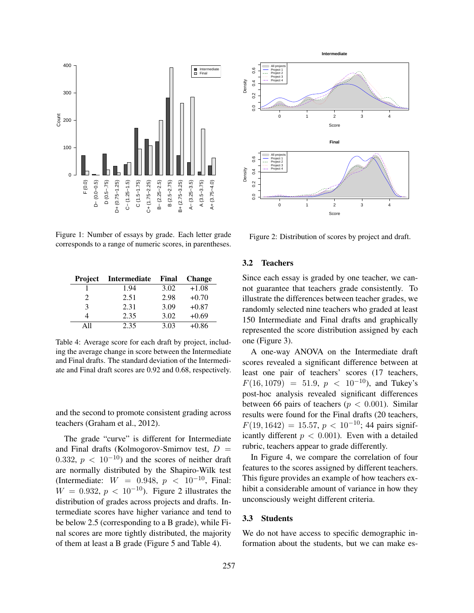

Figure 1: Number of essays by grade. Each letter grade corresponds to a range of numeric scores, in parentheses.

| <b>Project</b> | Intermediate | Final | <b>Change</b> |
|----------------|--------------|-------|---------------|
|                | 1.94         | 3.02  | $+1.08$       |
| $\mathfrak{D}$ | 2.51         | 2.98  | $+0.70$       |
| 3              | 2.31         | 3.09  | $+0.87$       |
|                | 2.35         | 3.02  | $+0.69$       |
| A11            | 2.35         | 3.03  | $+0.86$       |

Table 4: Average score for each draft by project, including the average change in score between the Intermediate and Final drafts. The standard deviation of the Intermediate and Final draft scores are 0.92 and 0.68, respectively.

and the second to promote consistent grading across teachers (Graham et al., 2012).

The grade "curve" is different for Intermediate and Final drafts (Kolmogorov-Smirnov test,  $D =$ 0.332,  $p < 10^{-10}$  and the scores of neither draft are normally distributed by the Shapiro-Wilk test (Intermediate:  $W = 0.948, p < 10^{-10}$ , Final:  $W = 0.932$ ,  $p < 10^{-10}$ ). Figure 2 illustrates the distribution of grades across projects and drafts. Intermediate scores have higher variance and tend to be below 2.5 (corresponding to a B grade), while Final scores are more tightly distributed, the majority of them at least a B grade (Figure 5 and Table 4).



Figure 2: Distribution of scores by project and draft.

#### 3.2 Teachers

Since each essay is graded by one teacher, we cannot guarantee that teachers grade consistently. To illustrate the differences between teacher grades, we randomly selected nine teachers who graded at least 150 Intermediate and Final drafts and graphically represented the score distribution assigned by each one (Figure 3).

A one-way ANOVA on the Intermediate draft scores revealed a significant difference between at least one pair of teachers' scores (17 teachers,  $F(16, 1079) = 51.9, p < 10^{-10}$ , and Tukey's post-hoc analysis revealed significant differences between 66 pairs of teachers ( $p < 0.001$ ). Similar results were found for the Final drafts (20 teachers,  $F(19, 1642) = 15.57, p < 10^{-10}$ ; 44 pairs significantly different  $p < 0.001$ ). Even with a detailed rubric, teachers appear to grade differently.

In Figure 4, we compare the correlation of four features to the scores assigned by different teachers. This figure provides an example of how teachers exhibit a considerable amount of variance in how they unconsciously weight different criteria.

### 3.3 Students

We do not have access to specific demographic information about the students, but we can make es-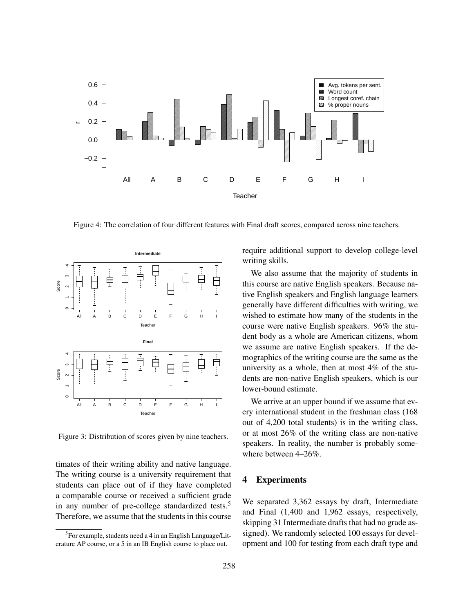

Figure 4: The correlation of four different features with Final draft scores, compared across nine teachers.



Figure 3: Distribution of scores given by nine teachers.

timates of their writing ability and native language. The writing course is a university requirement that students can place out of if they have completed a comparable course or received a sufficient grade in any number of pre-college standardized tests.<sup>5</sup> Therefore, we assume that the students in this course require additional support to develop college-level writing skills.

We also assume that the majority of students in this course are native English speakers. Because native English speakers and English language learners generally have different difficulties with writing, we wished to estimate how many of the students in the course were native English speakers. 96% the student body as a whole are American citizens, whom we assume are native English speakers. If the demographics of the writing course are the same as the university as a whole, then at most 4% of the students are non-native English speakers, which is our lower-bound estimate.

We arrive at an upper bound if we assume that every international student in the freshman class (168 out of 4,200 total students) is in the writing class, or at most 26% of the writing class are non-native speakers. In reality, the number is probably somewhere between 4–26%.

### 4 Experiments

We separated 3,362 essays by draft, Intermediate and Final (1,400 and 1,962 essays, respectively, skipping 31 Intermediate drafts that had no grade assigned). We randomly selected 100 essays for development and 100 for testing from each draft type and

<sup>&</sup>lt;sup>5</sup>For example, students need a 4 in an English Language/Literature AP course, or a 5 in an IB English course to place out.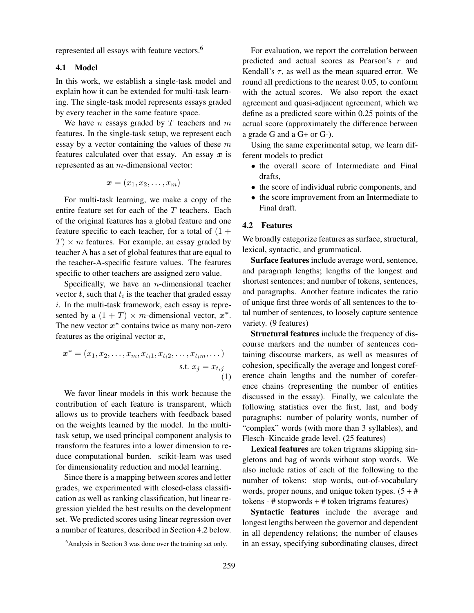represented all essays with feature vectors.<sup>6</sup>

### 4.1 Model

In this work, we establish a single-task model and explain how it can be extended for multi-task learning. The single-task model represents essays graded by every teacher in the same feature space.

We have  $n$  essays graded by  $T$  teachers and  $m$ features. In the single-task setup, we represent each essay by a vector containing the values of these  $m$ features calculated over that essay. An essay  $x$  is represented as an m-dimensional vector:

$$
\boldsymbol{x}=(x_1,x_2,\ldots,x_m)
$$

For multi-task learning, we make a copy of the entire feature set for each of the  $T$  teachers. Each of the original features has a global feature and one feature specific to each teacher, for a total of  $(1 +$  $T \times m$  features. For example, an essay graded by teacher A has a set of global features that are equal to the teacher-A-specific feature values. The features specific to other teachers are assigned zero value.

Specifically, we have an  $n$ -dimensional teacher vector  $t$ , such that  $t_i$  is the teacher that graded essay i. In the multi-task framework, each essay is represented by a  $(1 + T) \times m$ -dimensional vector,  $x^*$ . The new vector  $x^*$  contains twice as many non-zero features as the original vector  $x$ ,

$$
\boldsymbol{x}^* = (x_1, x_2, \dots, x_m, x_{t_i 1}, x_{t_i 2}, \dots, x_{t_i m}, \dots)
$$
  
s.t.  $x_j = x_{t_i j}$  (1)

We favor linear models in this work because the contribution of each feature is transparent, which allows us to provide teachers with feedback based on the weights learned by the model. In the multitask setup, we used principal component analysis to transform the features into a lower dimension to reduce computational burden. scikit-learn was used for dimensionality reduction and model learning.

Since there is a mapping between scores and letter grades, we experimented with closed-class classification as well as ranking classification, but linear regression yielded the best results on the development set. We predicted scores using linear regression over a number of features, described in Section 4.2 below.

For evaluation, we report the correlation between predicted and actual scores as Pearson's r and Kendall's  $\tau$ , as well as the mean squared error. We round all predictions to the nearest 0.05, to conform with the actual scores. We also report the exact agreement and quasi-adjacent agreement, which we define as a predicted score within 0.25 points of the actual score (approximately the difference between a grade G and a G+ or G-).

Using the same experimental setup, we learn different models to predict

- the overall score of Intermediate and Final drafts,
- the score of individual rubric components, and
- the score improvement from an Intermediate to Final draft.

# 4.2 Features

We broadly categorize features as surface, structural, lexical, syntactic, and grammatical.

Surface features include average word, sentence, and paragraph lengths; lengths of the longest and shortest sentences; and number of tokens, sentences, and paragraphs. Another feature indicates the ratio of unique first three words of all sentences to the total number of sentences, to loosely capture sentence variety. (9 features)

Structural features include the frequency of discourse markers and the number of sentences containing discourse markers, as well as measures of cohesion, specifically the average and longest coreference chain lengths and the number of coreference chains (representing the number of entities discussed in the essay). Finally, we calculate the following statistics over the first, last, and body paragraphs: number of polarity words, number of "complex" words (with more than 3 syllables), and Flesch–Kincaide grade level. (25 features)

Lexical features are token trigrams skipping singletons and bag of words without stop words. We also include ratios of each of the following to the number of tokens: stop words, out-of-vocabulary words, proper nouns, and unique token types.  $(5 + #)$ tokens - # stopwords + # token trigrams features)

Syntactic features include the average and longest lengths between the governor and dependent in all dependency relations; the number of clauses in an essay, specifying subordinating clauses, direct

 $6$ Analysis in Section 3 was done over the training set only.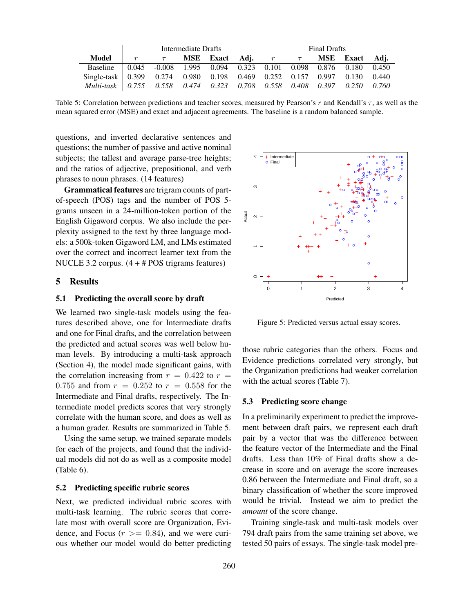|                                                                                                                                                         | Intermediate Drafts |                                                                            |  |                                |  | Final Drafts |  |  |                                                                         |  |
|---------------------------------------------------------------------------------------------------------------------------------------------------------|---------------------|----------------------------------------------------------------------------|--|--------------------------------|--|--------------|--|--|-------------------------------------------------------------------------|--|
| Model                                                                                                                                                   |                     | $\tau$                                                                     |  | <b>MSE</b> Exact Adi. $r \tau$ |  |              |  |  | MSE Exact Adi.                                                          |  |
| Baseline                                                                                                                                                |                     | $\vert 0.045 \vert$ -0.008 1.995 0.094 0.323 0.101 0.098 0.876 0.180 0.450 |  |                                |  |              |  |  |                                                                         |  |
| Single-task $\begin{bmatrix} 0.399 & 0.274 & 0.980 & 0.198 & 0.469 \end{bmatrix}$ $\begin{bmatrix} 0.252 & 0.157 & 0.997 & 0.130 & 0.440 \end{bmatrix}$ |                     |                                                                            |  |                                |  |              |  |  |                                                                         |  |
| Multi-task $\pm 0.755$                                                                                                                                  |                     |                                                                            |  |                                |  |              |  |  | $0.558$ $0.474$ $0.323$ $0.708$ $0.558$ $0.408$ $0.397$ $0.250$ $0.760$ |  |

Table 5: Correlation between predictions and teacher scores, measured by Pearson's  $r$  and Kendall's  $\tau$ , as well as the mean squared error (MSE) and exact and adjacent agreements. The baseline is a random balanced sample.

questions, and inverted declarative sentences and questions; the number of passive and active nominal subjects; the tallest and average parse-tree heights; and the ratios of adjective, prepositional, and verb phrases to noun phrases. (14 features)

Grammatical features are trigram counts of partof-speech (POS) tags and the number of POS 5 grams unseen in a 24-million-token portion of the English Gigaword corpus. We also include the perplexity assigned to the text by three language models: a 500k-token Gigaword LM, and LMs estimated over the correct and incorrect learner text from the NUCLE 3.2 corpus. (4 + # POS trigrams features)

#### 5 Results

### 5.1 Predicting the overall score by draft

We learned two single-task models using the features described above, one for Intermediate drafts and one for Final drafts, and the correlation between the predicted and actual scores was well below human levels. By introducing a multi-task approach (Section 4), the model made significant gains, with the correlation increasing from  $r = 0.422$  to  $r =$ 0.755 and from  $r = 0.252$  to  $r = 0.558$  for the Intermediate and Final drafts, respectively. The Intermediate model predicts scores that very strongly correlate with the human score, and does as well as a human grader. Results are summarized in Table 5.

Using the same setup, we trained separate models for each of the projects, and found that the individual models did not do as well as a composite model (Table 6).

#### 5.2 Predicting specific rubric scores

Next, we predicted individual rubric scores with multi-task learning. The rubric scores that correlate most with overall score are Organization, Evidence, and Focus  $(r \ge 0.84)$ , and we were curious whether our model would do better predicting



Figure 5: Predicted versus actual essay scores.

those rubric categories than the others. Focus and Evidence predictions correlated very strongly, but the Organization predictions had weaker correlation with the actual scores (Table 7).

### 5.3 Predicting score change

In a preliminarily experiment to predict the improvement between draft pairs, we represent each draft pair by a vector that was the difference between the feature vector of the Intermediate and the Final drafts. Less than 10% of Final drafts show a decrease in score and on average the score increases 0.86 between the Intermediate and Final draft, so a binary classification of whether the score improved would be trivial. Instead we aim to predict the *amount* of the score change.

Training single-task and multi-task models over 794 draft pairs from the same training set above, we tested 50 pairs of essays. The single-task model pre-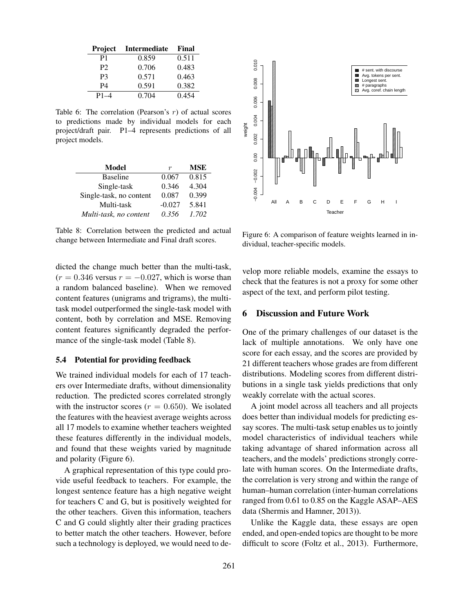| Project  | <b>Intermediate</b> | Final |
|----------|---------------------|-------|
| P1       | 0.859               | 0.511 |
| P2       | 0.706               | 0.483 |
| P3       | 0.571               | 0.463 |
| P4       | 0.591               | 0.382 |
| $P1 - 4$ | 0.704               | 0.454 |

Table 6: The correlation (Pearson's  $r$ ) of actual scores to predictions made by individual models for each project/draft pair. P1–4 represents predictions of all project models.

| Model                   | r        | <b>MSE</b> |
|-------------------------|----------|------------|
| <b>Baseline</b>         | 0.067    | 0.815      |
| Single-task             | 0.346    | 4.304      |
| Single-task, no content | 0.087    | 0.399      |
| Multi-task              | $-0.027$ | 5.841      |
| Multi-task, no content  | 0.356    | 1.702      |

Table 8: Correlation between the predicted and actual change between Intermediate and Final draft scores.

dicted the change much better than the multi-task,  $(r = 0.346$  versus  $r = -0.027$ , which is worse than a random balanced baseline). When we removed content features (unigrams and trigrams), the multitask model outperformed the single-task model with content, both by correlation and MSE. Removing content features significantly degraded the performance of the single-task model (Table 8).

#### 5.4 Potential for providing feedback

We trained individual models for each of 17 teachers over Intermediate drafts, without dimensionality reduction. The predicted scores correlated strongly with the instructor scores ( $r = 0.650$ ). We isolated the features with the heaviest average weights across all 17 models to examine whether teachers weighted these features differently in the individual models, and found that these weights varied by magnitude and polarity (Figure 6).

A graphical representation of this type could provide useful feedback to teachers. For example, the longest sentence feature has a high negative weight for teachers C and G, but is positively weighted for the other teachers. Given this information, teachers C and G could slightly alter their grading practices to better match the other teachers. However, before such a technology is deployed, we would need to de-



Figure 6: A comparison of feature weights learned in individual, teacher-specific models.

velop more reliable models, examine the essays to check that the features is not a proxy for some other aspect of the text, and perform pilot testing.

### 6 Discussion and Future Work

One of the primary challenges of our dataset is the lack of multiple annotations. We only have one score for each essay, and the scores are provided by 21 different teachers whose grades are from different distributions. Modeling scores from different distributions in a single task yields predictions that only weakly correlate with the actual scores.

A joint model across all teachers and all projects does better than individual models for predicting essay scores. The multi-task setup enables us to jointly model characteristics of individual teachers while taking advantage of shared information across all teachers, and the models' predictions strongly correlate with human scores. On the Intermediate drafts, the correlation is very strong and within the range of human–human correlation (inter-human correlations ranged from 0.61 to 0.85 on the Kaggle ASAP–AES data (Shermis and Hamner, 2013)).

Unlike the Kaggle data, these essays are open ended, and open-ended topics are thought to be more difficult to score (Foltz et al., 2013). Furthermore,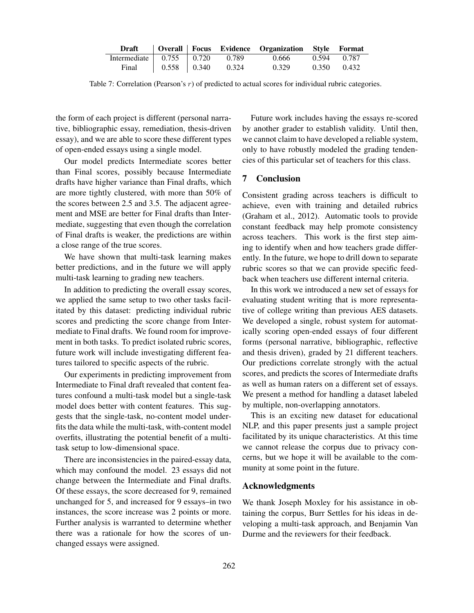|                                  |  | Draft   Overall   Focus Evidence Organization Style Format |             |
|----------------------------------|--|------------------------------------------------------------|-------------|
| Intermediate $0.755$ 0.720 0.789 |  | 0.666                                                      | 0.594 0.787 |
| Final 0.558 0.340 0.324          |  | 0.329                                                      | 0.350 0.432 |

Table 7: Correlation (Pearson's  $r$ ) of predicted to actual scores for individual rubric categories.

the form of each project is different (personal narrative, bibliographic essay, remediation, thesis-driven essay), and we are able to score these different types of open-ended essays using a single model.

Our model predicts Intermediate scores better than Final scores, possibly because Intermediate drafts have higher variance than Final drafts, which are more tightly clustered, with more than 50% of the scores between 2.5 and 3.5. The adjacent agreement and MSE are better for Final drafts than Intermediate, suggesting that even though the correlation of Final drafts is weaker, the predictions are within a close range of the true scores.

We have shown that multi-task learning makes better predictions, and in the future we will apply multi-task learning to grading new teachers.

In addition to predicting the overall essay scores, we applied the same setup to two other tasks facilitated by this dataset: predicting individual rubric scores and predicting the score change from Intermediate to Final drafts. We found room for improvement in both tasks. To predict isolated rubric scores, future work will include investigating different features tailored to specific aspects of the rubric.

Our experiments in predicting improvement from Intermediate to Final draft revealed that content features confound a multi-task model but a single-task model does better with content features. This suggests that the single-task, no-content model underfits the data while the multi-task, with-content model overfits, illustrating the potential benefit of a multitask setup to low-dimensional space.

There are inconsistencies in the paired-essay data, which may confound the model. 23 essays did not change between the Intermediate and Final drafts. Of these essays, the score decreased for 9, remained unchanged for 5, and increased for 9 essays–in two instances, the score increase was 2 points or more. Further analysis is warranted to determine whether there was a rationale for how the scores of unchanged essays were assigned.

Future work includes having the essays re-scored by another grader to establish validity. Until then, we cannot claim to have developed a reliable system, only to have robustly modeled the grading tendencies of this particular set of teachers for this class.

# 7 Conclusion

Consistent grading across teachers is difficult to achieve, even with training and detailed rubrics (Graham et al., 2012). Automatic tools to provide constant feedback may help promote consistency across teachers. This work is the first step aiming to identify when and how teachers grade differently. In the future, we hope to drill down to separate rubric scores so that we can provide specific feedback when teachers use different internal criteria.

In this work we introduced a new set of essays for evaluating student writing that is more representative of college writing than previous AES datasets. We developed a single, robust system for automatically scoring open-ended essays of four different forms (personal narrative, bibliographic, reflective and thesis driven), graded by 21 different teachers. Our predictions correlate strongly with the actual scores, and predicts the scores of Intermediate drafts as well as human raters on a different set of essays. We present a method for handling a dataset labeled by multiple, non-overlapping annotators.

This is an exciting new dataset for educational NLP, and this paper presents just a sample project facilitated by its unique characteristics. At this time we cannot release the corpus due to privacy concerns, but we hope it will be available to the community at some point in the future.

### Acknowledgments

We thank Joseph Moxley for his assistance in obtaining the corpus, Burr Settles for his ideas in developing a multi-task approach, and Benjamin Van Durme and the reviewers for their feedback.